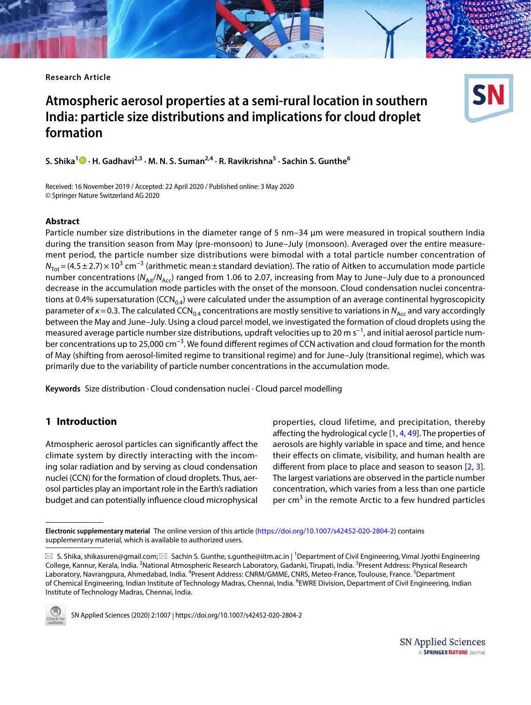**Research Article**

# **Atmospheric aerosol properties at a semi‑rural location in southern India: particle size distributions and implications for cloud droplet formation**



**S. Shika<sup>1</sup> · H. Gadhavi2,3 · M. N. S. Suman2,4 · R. Ravikrishna<sup>5</sup> · Sachin S. Gunthe<sup>6</sup>**

Received: 16 November 2019 / Accepted: 22 April 2020 / Published online: 3 May 2020 © Springer Nature Switzerland AG 2020

## **Abstract**

Particle number size distributions in the diameter range of 5 nm–34 µm were measured in tropical southern India during the transition season from May (pre-monsoon) to June–July (monsoon). Averaged over the entire measurement period, the particle number size distributions were bimodal with a total particle number concentration of  $N_{\text{Tot}}$  = (4.5 ± 2.7)  $\times$  10<sup>3</sup> cm<sup>-3</sup> (arithmetic mean ± standard deviation). The ratio of Aitken to accumulation mode particle number concentrations ( $N_{\text{Ai}t}/N_{\text{Acc}}$ ) ranged from 1.06 to 2.07, increasing from May to June–July due to a pronounced decrease in the accumulation mode particles with the onset of the monsoon. Cloud condensation nuclei concentrations at 0.4% supersaturation (CCN<sub>0.4</sub>) were calculated under the assumption of an average continental hygroscopicity parameter of  $\kappa$  = 0.3. The calculated CCN<sub>0.4</sub> concentrations are mostly sensitive to variations in N<sub>Acc</sub> and vary accordingly between the May and June–July. Using a cloud parcel model, we investigated the formation of cloud droplets using the measured average particle number size distributions, updraft velocities up to 20 m s<sup>−1</sup>, and initial aerosol particle number concentrations up to 25,000 cm<sup>−3</sup>. We found different regimes of CCN activation and cloud formation for the month of May (shifting from aerosol-limited regime to transitional regime) and for June–July (transitional regime), which was primarily due to the variability of particle number concentrations in the accumulation mode.

**Keywords** Size distribution · Cloud condensation nuclei · Cloud parcel modelling

## **1 Introduction**

Atmospheric aerosol particles can significantly affect the climate system by directly interacting with the incoming solar radiation and by serving as cloud condensation nuclei (CCN) for the formation of cloud droplets. Thus, aerosol particles play an important role in the Earth's radiation budget and can potentially influence cloud microphysical

properties, cloud lifetime, and precipitation, thereby affecting the hydrological cycle [\[1](#page-12-0), [4](#page-12-1), [49\]](#page-13-0). The properties of aerosols are highly variable in space and time, and hence their effects on climate, visibility, and human health are different from place to place and season to season [\[2,](#page-12-2) [3](#page-12-3)]. The largest variations are observed in the particle number concentration, which varies from a less than one particle per cm<sup>3</sup> in the remote Arctic to a few hundred particles

 $\boxtimes$  S. Shika, shikasuren@gmail.com;  $\boxtimes$  Sachin S. Gunthe, s.gunthe@iitm.ac.in | <sup>1</sup>Department of Civil Engineering, Vimal Jyothi Engineering College, Kannur, Kerala, India. <sup>2</sup>National Atmospheric Research Laboratory, Gadanki, Tirupati, India. <sup>3</sup>Present Address: Physical Research Laboratory, Navrangpura, Ahmedabad, India. <sup>4</sup>Present Address: CNRM/GMME, CNRS, Meteo-France, Toulouse, France. <sup>5</sup>Department of Chemical Engineering, Indian Institute of Technology Madras, Chennai, India. <sup>6</sup>EWRE Division, Department of Civil Engineering, Indian Institute of Technology Madras, Chennai, India.



SN Applied Sciences (2020) 2:1007 | https://doi.org/10.1007/s42452-020-2804-2

Electronic supplementary material The online version of this article (https://doi.org/10.1007/s42452-020-2804-2) contains supplementary material, which is available to authorized users.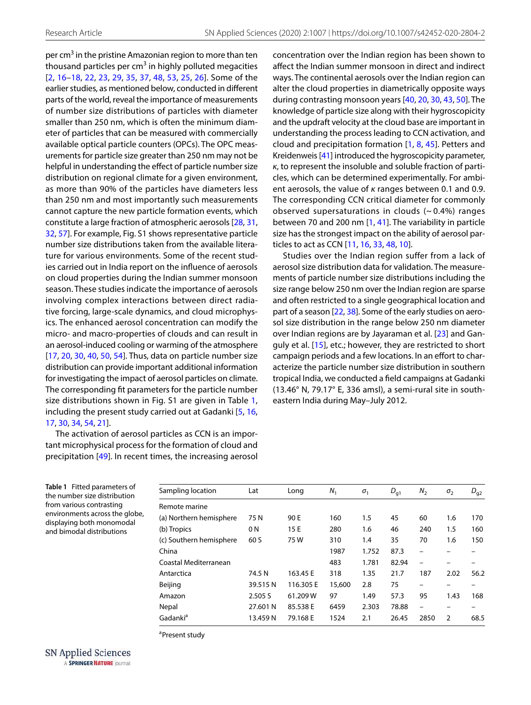per cm<sup>3</sup> in the pristine Amazonian region to more than ten thousand particles per cm<sup>3</sup> in highly polluted megacities [[2](#page-12-2), [16–](#page-12-4)[18](#page-12-5), [22,](#page-12-6) [23](#page-12-7), [29](#page-13-1), [35,](#page-13-2) [37](#page-13-3), [48,](#page-13-4) [53](#page-13-5), [25](#page-13-6), [26\]](#page-13-7). Some of the earlier studies, as mentioned below, conducted in different parts of the world, reveal the importance of measurements of number size distributions of particles with diameter smaller than 250 nm, which is often the minimum diameter of particles that can be measured with commercially available optical particle counters (OPCs). The OPC measurements for particle size greater than 250 nm may not be helpful in understanding the effect of particle number size distribution on regional climate for a given environment, as more than 90% of the particles have diameters less than 250 nm and most importantly such measurements cannot capture the new particle formation events, which constitute a large fraction of atmospheric aerosols [[28,](#page-13-8) [31](#page-13-9), [32](#page-13-10), [57\]](#page-14-0). For example, Fig. S1 shows representative particle number size distributions taken from the available literature for various environments. Some of the recent studies carried out in India report on the influence of aerosols on cloud properties during the Indian summer monsoon season. These studies indicate the importance of aerosols involving complex interactions between direct radiative forcing, large-scale dynamics, and cloud microphysics. The enhanced aerosol concentration can modify the micro- and macro-properties of clouds and can result in an aerosol-induced cooling or warming of the atmosphere [[17](#page-12-8), [20](#page-12-9), [30,](#page-13-11) [40](#page-13-12), [50](#page-13-13), [54\]](#page-13-14). Thus, data on particle number size distribution can provide important additional information for investigating the impact of aerosol particles on climate. The corresponding fit parameters for the particle number size distributions shown in Fig. S1 are given in Table [1](#page-1-0), including the present study carried out at Gadanki [\[5](#page-12-10), [16](#page-12-4), [17](#page-12-8), [30,](#page-13-11) [34](#page-13-15), [54,](#page-13-14) [21](#page-12-11)].

The activation of aerosol particles as CCN is an important microphysical process for the formation of cloud and precipitation [[49](#page-13-0)]. In recent times, the increasing aerosol concentration over the Indian region has been shown to affect the Indian summer monsoon in direct and indirect ways. The continental aerosols over the Indian region can alter the cloud properties in diametrically opposite ways during contrasting monsoon years [[40,](#page-13-12) [20](#page-12-9), [30,](#page-13-11) [43,](#page-13-16) [50](#page-13-13)]. The knowledge of particle size along with their hygroscopicity and the updraft velocity at the cloud base are important in understanding the process leading to CCN activation, and cloud and precipitation formation [\[1,](#page-12-0) [8,](#page-12-12) [45\]](#page-13-17). Petters and Kreidenweis [[41\]](#page-13-18) introduced the hygroscopicity parameter, κ, to represent the insoluble and soluble fraction of particles, which can be determined experimentally. For ambient aerosols, the value of κ ranges between 0.1 and 0.9. The corresponding CCN critical diameter for commonly observed supersaturations in clouds  $(-0.4%)$  ranges between 70 and 200 nm [[1,](#page-12-0) [41\]](#page-13-18). The variability in particle size has the strongest impact on the ability of aerosol particles to act as CCN [[11](#page-12-13), [16,](#page-12-4) [33](#page-13-19), [48,](#page-13-4) [10](#page-12-14)].

Studies over the Indian region suffer from a lack of aerosol size distribution data for validation. The measurements of particle number size distributions including the size range below 250 nm over the Indian region are sparse and often restricted to a single geographical location and part of a season [\[22](#page-12-6), [38](#page-13-20)]. Some of the early studies on aerosol size distribution in the range below 250 nm diameter over Indian regions are by Jayaraman et al. [\[23\]](#page-12-7) and Ganguly et al. [[15](#page-12-15)], etc.; however, they are restricted to short campaign periods and a few locations. In an effort to characterize the particle number size distribution in southern tropical India, we conducted a field campaigns at Gadanki (13.46° N, 79.17° E, 336 amsl), a semi-rural site in southeastern India during May–July 2012.

<span id="page-1-0"></span>**Table 1** Fitted parameters of the number size distribution from various contrasting environments across the globe, displaying both monomodal and bimodal distributions

| Sampling location       | Lat      | Long      | $N_{1}$ | $\sigma_{1}$ | $D_{q1}$ | $N_{2}$                  | $\sigma_{2}$   | $D_{g2}$ |
|-------------------------|----------|-----------|---------|--------------|----------|--------------------------|----------------|----------|
| Remote marine           |          |           |         |              |          |                          |                |          |
| (a) Northern hemisphere | 75 N     | 90 E      | 160     | 1.5          | 45       | 60                       | 1.6            | 170      |
| (b) Tropics             | 0 N      | 15 E      | 280     | 1.6          | 46       | 240                      | 1.5            | 160      |
| (c) Southern hemisphere | 60 S     | 75W       | 310     | 1.4          | 35       | 70                       | 1.6            | 150      |
| China                   |          |           | 1987    | 1.752        | 87.3     | $\overline{\phantom{0}}$ |                |          |
| Coastal Mediterranean   |          |           | 483     | 1.781        | 82.94    | $\overline{\phantom{0}}$ |                |          |
| Antarctica              | 74.5 N   | 163.45 E  | 318     | 1.35         | 21.7     | 187                      | 2.02           | 56.2     |
| Beijing                 | 39.515N  | 116.305 E | 15,600  | 2.8          | 75       |                          |                |          |
| Amazon                  | 2.505 S  | 61.209 W  | 97      | 1.49         | 57.3     | 95                       | 1.43           | 168      |
| Nepal                   | 27.601 N | 85.538 E  | 6459    | 2.303        | 78.88    | $\overline{\phantom{0}}$ |                |          |
| Gadanki <sup>a</sup>    | 13.459 N | 79.168 E  | 1524    | 2.1          | 26.45    | 2850                     | $\overline{2}$ | 68.5     |

<sup>a</sup>Present study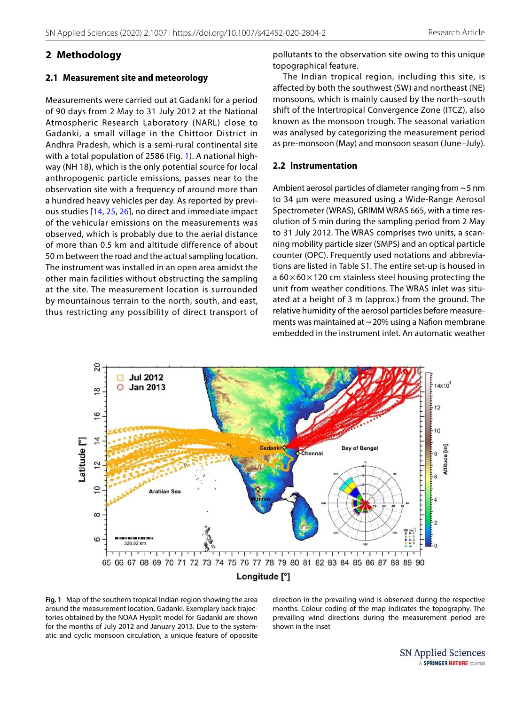# **2 Methodology**

#### **2.1 Measurement site and meteorology**

Measurements were carried out at Gadanki for a period of 90 days from 2 May to 31 July 2012 at the National Atmospheric Research Laboratory (NARL) close to Gadanki, a small village in the Chittoor District in Andhra Pradesh, which is a semi-rural continental site with a total population of 2586 (Fig. [1](#page-2-0)). A national highway (NH 18), which is the only potential source for local anthropogenic particle emissions, passes near to the observation site with a frequency of around more than a hundred heavy vehicles per day. As reported by previous studies [\[14,](#page-12-16) [25,](#page-13-6) [26\]](#page-13-7), no direct and immediate impact of the vehicular emissions on the measurements was observed, which is probably due to the aerial distance of more than 0.5 km and altitude difference of about 50 m between the road and the actual sampling location. The instrument was installed in an open area amidst the other main facilities without obstructing the sampling at the site. The measurement location is surrounded by mountainous terrain to the north, south, and east, thus restricting any possibility of direct transport of

pollutants to the observation site owing to this unique topographical feature.

The Indian tropical region, including this site, is affected by both the southwest (SW) and northeast (NE) monsoons, which is mainly caused by the north–south shift of the Intertropical Convergence Zone (ITCZ), also known as the monsoon trough. The seasonal variation was analysed by categorizing the measurement period as pre-monsoon (May) and monsoon season (June–July).

#### **2.2 Instrumentation**

Ambient aerosol particles of diameter ranging from ~ 5 nm to 34 µm were measured using a Wide-Range Aerosol Spectrometer (WRAS), GRIMM WRAS 665, with a time resolution of 5 min during the sampling period from 2 May to 31 July 2012. The WRAS comprises two units, a scanning mobility particle sizer (SMPS) and an optical particle counter (OPC). Frequently used notations and abbreviations are listed in Table S1. The entire set-up is housed in a  $60 \times 60 \times 120$  cm stainless steel housing protecting the unit from weather conditions. The WRAS inlet was situated at a height of 3 m (approx.) from the ground. The relative humidity of the aerosol particles before measurements was maintained at  $\sim$  20% using a Nafion membrane embedded in the instrument inlet. An automatic weather



<span id="page-2-0"></span>**Fig. 1** Map of the southern tropical Indian region showing the area around the measurement location, Gadanki. Exemplary back trajectories obtained by the NOAA Hysplit model for Gadanki are shown for the months of July 2012 and January 2013. Due to the systematic and cyclic monsoon circulation, a unique feature of opposite direction in the prevailing wind is observed during the respective months. Colour coding of the map indicates the topography. The prevailing wind directions during the measurement period are shown in the inset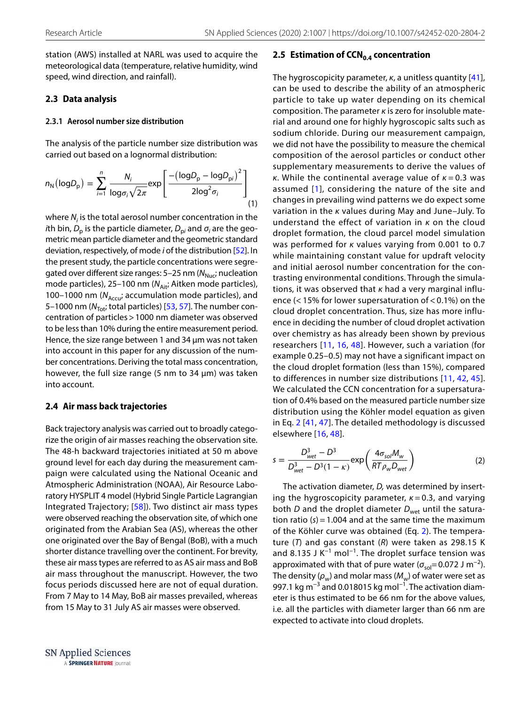station (AWS) installed at NARL was used to acquire the meteorological data (temperature, relative humidity, wind speed, wind direction, and rainfall).

## <span id="page-3-2"></span>**2.3 Data analysis**

#### **2.3.1 Aerosol number size distribution**

The analysis of the particle number size distribution was carried out based on a lognormal distribution:

$$
n_{N}(\text{log}D_{p}) = \sum_{i=1}^{n} \frac{N_{i}}{\text{log}\sigma_{i}\sqrt{2\pi}} \exp\left[\frac{-(\text{log}D_{p} - \text{log}D_{pi})^{2}}{2\text{log}^{2}\sigma_{i}}\right]
$$
(1)

where  $N_i$  is the total aerosol number concentration in the *i*th bin,  $D_{\rm p}$  is the particle diameter,  $D_{\rm p i}$  and  $\sigma_{\rm i}$  are the geometric mean particle diameter and the geometric standard deviation, respectively, of mode i of the distribution [\[52\]](#page-13-21). In the present study, the particle concentrations were segregated over different size ranges:  $5-25$  nm ( $N<sub>Nuc</sub>$ ; nucleation mode particles), 25–100 nm ( $N_{\text{Ait}}$ ; Aitken mode particles), 100–1000 nm ( $N_{\text{Accu}}$ ; accumulation mode particles), and 5–1000 nm ( $N_{\text{Tot}}$ ; total particles) [[53,](#page-13-5) [57](#page-14-0)]. The number concentration of particles > 1000 nm diameter was observed to be less than 10% during the entire measurement period. Hence, the size range between 1 and 34 µm was not taken into account in this paper for any discussion of the number concentrations. Deriving the total mass concentration, however, the full size range (5 nm to 34  $\mu$ m) was taken into account.

#### **2.4 Air mass back trajectories**

Back trajectory analysis was carried out to broadly categorize the origin of air masses reaching the observation site. The 48-h backward trajectories initiated at 50 m above ground level for each day during the measurement campaign were calculated using the National Oceanic and Atmospheric Administration (NOAA), Air Resource Laboratory HYSPLIT 4 model (Hybrid Single Particle Lagrangian Integrated Trajectory; [\[58\]](#page-14-1)). Two distinct air mass types were observed reaching the observation site, of which one originated from the Arabian Sea (AS), whereas the other one originated over the Bay of Bengal (BoB), with a much shorter distance travelling over the continent. For brevity, these air mass types are referred to as AS air mass and BoB air mass throughout the manuscript. However, the two focus periods discussed here are not of equal duration. From 7 May to 14 May, BoB air masses prevailed, whereas from 15 May to 31 July AS air masses were observed.

#### **2.5 Estimation of CCN0.4 concentration**

<span id="page-3-1"></span>The hygroscopicity parameter,  $\kappa$ , a unitless quantity [[41](#page-13-18)], can be used to describe the ability of an atmospheric particle to take up water depending on its chemical composition. The parameter κ is zero for insoluble material and around one for highly hygroscopic salts such as sodium chloride. During our measurement campaign, we did not have the possibility to measure the chemical composition of the aerosol particles or conduct other supplementary measurements to derive the values of κ. While the continental average value of  $κ = 0.3$  was assumed [[1](#page-12-0)], considering the nature of the site and changes in prevailing wind patterns we do expect some variation in the κ values during May and June–July. To understand the effect of variation in  $\kappa$  on the cloud droplet formation, the cloud parcel model simulation was performed for κ values varying from 0.001 to 0.7 while maintaining constant value for updraft velocity and initial aerosol number concentration for the contrasting environmental conditions. Through the simulations, it was observed that κ had a very marginal influence (< 15% for lower supersaturation of < 0.1%) on the cloud droplet concentration. Thus, size has more influence in deciding the number of cloud droplet activation over chemistry as has already been shown by previous researchers [[11,](#page-12-13) [16,](#page-12-4) [48\]](#page-13-4). However, such a variation (for example 0.25–0.5) may not have a significant impact on the cloud droplet formation (less than 15%), compared to differences in number size distributions [\[11](#page-12-13), [42,](#page-13-22) [45](#page-13-17)]. We calculated the CCN concentration for a supersaturation of 0.4% based on the measured particle number size distribution using the Köhler model equation as given in Eq. [2](#page-3-0) [[41](#page-13-18), [47\]](#page-13-23). The detailed methodology is discussed elsewhere [\[16](#page-12-4), [48](#page-13-4)].

<span id="page-3-0"></span>
$$
s = \frac{D_{wet}^3 - D^3}{D_{wet}^3 - D^3(1 - \kappa)} \exp\left(\frac{4\sigma_{sol}M_w}{RT\rho_w D_{wet}}\right)
$$
 (2)

The activation diameter, D, was determined by inserting the hygroscopicity parameter,  $\kappa = 0.3$ , and varying both D and the droplet diameter  $D_{wet}$  until the saturation ratio  $(s) = 1.004$  and at the same time the maximum of the Köhler curve was obtained (Eq. [2](#page-3-0)). The temperature  $(T)$  and gas constant  $(R)$  were taken as 298.15 K and 8.135 J K<sup>-1</sup> mol<sup>-1</sup>. The droplet surface tension was approximated with that of pure water ( $\sigma_{\text{sol}}$ = 0.072 J m<sup>-2</sup>). The density ( $\rho_w$ ) and molar mass ( $M_w$ ) of water were set as 997.1 kg m<sup>-3</sup> and 0.018015 kg mol<sup>-1</sup>. The activation diameter is thus estimated to be 66 nm for the above values, i.e. all the particles with diameter larger than 66 nm are expected to activate into cloud droplets.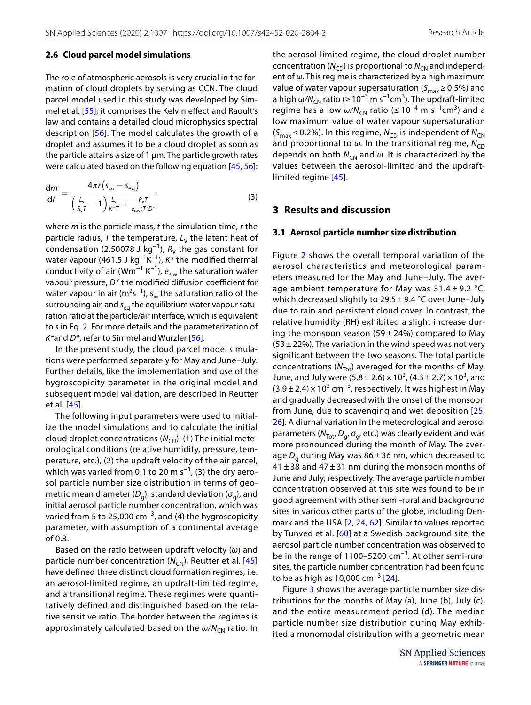#### **2.6 Cloud parcel model simulations**

The role of atmospheric aerosols is very crucial in the formation of cloud droplets by serving as CCN. The cloud parcel model used in this study was developed by Simmel et al. [[55](#page-14-2)]; it comprises the Kelvin effect and Raoult's law and contains a detailed cloud microphysics spectral description [\[56](#page-14-3)]. The model calculates the growth of a droplet and assumes it to be a cloud droplet as soon as the particle attains a size of  $1 \mu m$ . The particle growth rates were calculated based on the following equation [\[45,](#page-13-17) [56](#page-14-3)]:

$$
\frac{\mathrm{d}m}{\mathrm{d}t} = \frac{4\pi r \left(s_{\infty} - s_{\text{eq}}\right)}{\left(\frac{L_v}{R_v T} - 1\right) \frac{L_v}{\kappa^* T} + \frac{R_v T}{e_{\text{sw}}(T) D^*}}
$$
(3)

where  $m$  is the particle mass,  $t$  the simulation time,  $r$  the particle radius, T the temperature,  $L_V$  the latent heat of condensation (2.50078 J kg<sup>-1</sup>),  $R_V$  the gas constant for water vapour (461.5 J kg<sup>-1</sup>K<sup>-1</sup>),  $K^*$  the modified thermal conductivity of air (Wm<sup>-1</sup> K<sup>-1</sup>),  $e_{\text{sw}}$  the saturation water vapour pressure,  $D^*$  the modified diffusion coefficient for water vapour in air (m<sup>2</sup>s<sup>-1</sup>), s<sub>∞</sub> the saturation ratio of the surrounding air, and  $s_{eq}$  the equilibrium water vapour saturation ratio at the particle/air interface, which is equivalent to s in Eq. [2.](#page-3-0) For more details and the parameterization of  $K^*$ and  $D^*$ , refer to Simmel and Wurzler [[56\]](#page-14-3).

In the present study, the cloud parcel model simulations were performed separately for May and June–July. Further details, like the implementation and use of the hygroscopicity parameter in the original model and subsequent model validation, are described in Reutter et al. [\[45](#page-13-17)].

The following input parameters were used to initialize the model simulations and to calculate the initial cloud droplet concentrations  $(N_{\text{CD}})$ : (1) The initial meteorological conditions (relative humidity, pressure, temperature, etc.), (2) the updraft velocity of the air parcel, which was varied from 0.1 to 20 m s<sup>-1</sup>, (3) the dry aerosol particle number size distribution in terms of geometric mean diameter ( $D_g$ ), standard deviation ( $\sigma_g$ ), and initial aerosol particle number concentration, which was varied from 5 to 25,000 cm−3, and (4) the hygroscopicity parameter, with assumption of a continental average of 0.3.

Based on the ratio between updraft velocity ( $\omega$ ) and particle number concentration ( $N_{\text{CN}}$ ), Reutter et al. [[45](#page-13-17)] have defined three distinct cloud formation regimes, i.e. an aerosol-limited regime, an updraft-limited regime, and a transitional regime. These regimes were quantitatively defined and distinguished based on the relative sensitive ratio. The border between the regimes is approximately calculated based on the  $\omega/N_{CN}$  ratio. In the aerosol-limited regime, the cloud droplet number concentration ( $N_{CD}$ ) is proportional to  $N_{CN}$  and independent of  $\omega$ . This regime is characterized by a high maximum value of water vapour supersaturation ( $S_{\text{max}} \ge 0.5\%$ ) and a high  $\omega/N_{CN}$  ratio (≥ 10<sup>-3</sup> m s<sup>-1</sup>cm<sup>3</sup>). The updraft-limited regime has a low  $\omega/N_{CN}$  ratio (≤ 10<sup>-4</sup> m s<sup>-1</sup>cm<sup>3</sup>) and a low maximum value of water vapour supersaturation  $(S<sub>max</sub> \le 0.2%)$ . In this regime,  $N<sub>CD</sub>$  is independent of  $N<sub>CN</sub>$ and proportional to  $\omega$ . In the transitional regime,  $N_{CD}$ depends on both  $N_{CN}$  and  $\omega$ . It is characterized by the values between the aerosol-limited and the updraftlimited regime [[45](#page-13-17)].

## **3 Results and discussion**

#### **3.1 Aerosol particle number size distribution**

Figure [2](#page-5-0) shows the overall temporal variation of the aerosol characteristics and meteorological parameters measured for the May and June–July. The average ambient temperature for May was  $31.4 \pm 9.2$  °C, which decreased slightly to 29.5 ± 9.4 °C over June–July due to rain and persistent cloud cover. In contrast, the relative humidity (RH) exhibited a slight increase during the monsoon season (59  $\pm$  24%) compared to May  $(53 \pm 22%)$ . The variation in the wind speed was not very significant between the two seasons. The total particle concentrations ( $N_{\text{Tot}}$ ) averaged for the months of May, June, and July were  $(5.8 \pm 2.6) \times 10^3$ ,  $(4.3 \pm 2.7) \times 10^3$ , and  $(3.9 \pm 2.4) \times 10^3$  cm<sup>-3</sup>, respectively. It was highest in May and gradually decreased with the onset of the monsoon from June, due to scavenging and wet deposition [\[25](#page-13-6), [26\]](#page-13-7). A diurnal variation in the meteorological and aerosol parameters ( $N_{\text{Tot'}} D_{g'} \sigma_{g'}$  etc.) was clearly evident and was more pronounced during the month of May. The average  $D_{\rm g}$  during May was 86 ± 36 nm, which decreased to  $41 \pm 38$  and  $47 \pm 31$  nm during the monsoon months of June and July, respectively. The average particle number concentration observed at this site was found to be in good agreement with other semi-rural and background sites in various other parts of the globe, including Denmark and the USA [\[2,](#page-12-2) [24,](#page-13-24) [62](#page-14-4)]. Similar to values reported by Tunved et al. [[60](#page-14-5)] at a Swedish background site, the aerosol particle number concentration was observed to be in the range of 1100–5200 cm−3. At other semi-rural sites, the particle number concentration had been found to be as high as 10,000 cm<sup>-3</sup> [[24](#page-13-24)].

Figure [3](#page-5-1) shows the average particle number size distributions for the months of May (a), June (b), July (c), and the entire measurement period (d). The median particle number size distribution during May exhibited a monomodal distribution with a geometric mean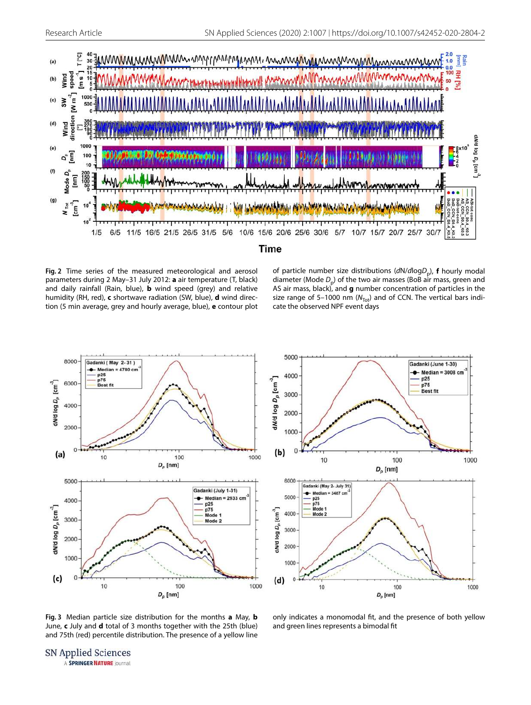

#### Time

<span id="page-5-0"></span>**Fig. 2** Time series of the measured meteorological and aerosol parameters during 2 May–31 July 2012: **a** air temperature (T, black) and daily rainfall (Rain, blue), **b** wind speed (grey) and relative humidity (RH, red), **c** shortwave radiation (SW, blue), **d** wind direction (5 min average, grey and hourly average, blue), **e** contour plot

of particle number size distributions (dN/dlogD<sub>p</sub>), **f** hourly modal diameter (Mode  $D_{\rm p}$ ) of the two air masses (BoB air mass, green and AS air mass, black), and **g** number concentration of particles in the size range of 5–1000 nm ( $N_{\text{Tot}}$ ) and of CCN. The vertical bars indicate the observed NPF event days





<span id="page-5-1"></span>**Fig. 3** Median particle size distribution for the months **a** May, **b** June, **c** July and **d** total of 3 months together with the 25th (blue) and 75th (red) percentile distribution. The presence of a yellow line

only indicates a monomodal fit, and the presence of both yellow and green lines represents a bimodal fit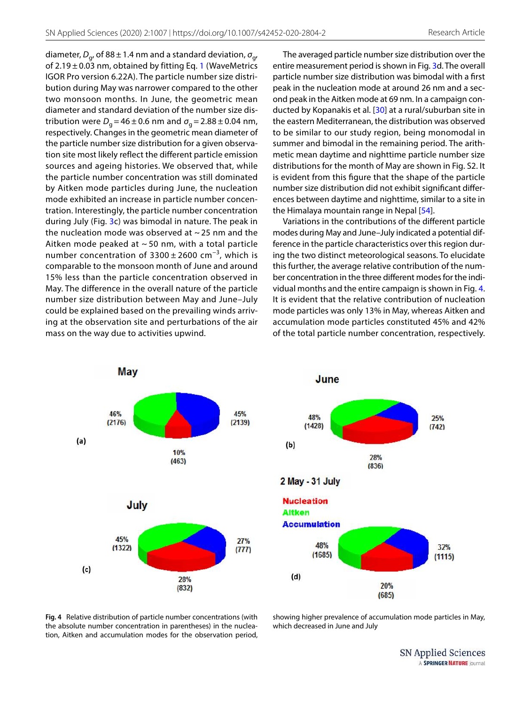diameter,  $D_{g'}$  of 88 ± 1.4 nm and a standard deviation,  $\sigma_{g'}$ of 2.[1](#page-3-1)9  $\pm$  0.03 nm, obtained by fitting Eq. 1 (WaveMetrics IGOR Pro version 6.22A). The particle number size distribution during May was narrower compared to the other two monsoon months. In June, the geometric mean diameter and standard deviation of the number size distribution were  $D_g$  = 46  $\pm$  0.6 nm and  $\sigma_g$  = 2.88  $\pm$  0.04 nm, respectively. Changes in the geometric mean diameter of the particle number size distribution for a given observation site most likely reflect the different particle emission sources and ageing histories. We observed that, while the particle number concentration was still dominated by Aitken mode particles during June, the nucleation mode exhibited an increase in particle number concentration. Interestingly, the particle number concentration during July (Fig. [3](#page-5-1)c) was bimodal in nature. The peak in the nucleation mode was observed at  $\sim$  25 nm and the Aitken mode peaked at  $\sim$  50 nm, with a total particle number concentration of  $3300 \pm 2600$  cm<sup>-3</sup>, which is comparable to the monsoon month of June and around 15% less than the particle concentration observed in May. The difference in the overall nature of the particle number size distribution between May and June–July could be explained based on the prevailing winds arriving at the observation site and perturbations of the air mass on the way due to activities upwind.

The averaged particle number size distribution over the entire measurement period is shown in Fig. [3](#page-5-1)d. The overall particle number size distribution was bimodal with a first peak in the nucleation mode at around 26 nm and a second peak in the Aitken mode at 69 nm. In a campaign conducted by Kopanakis et al. [\[30\]](#page-13-11) at a rural/suburban site in the eastern Mediterranean, the distribution was observed to be similar to our study region, being monomodal in summer and bimodal in the remaining period. The arithmetic mean daytime and nighttime particle number size distributions for the month of May are shown in Fig. S2. It is evident from this figure that the shape of the particle number size distribution did not exhibit significant differences between daytime and nighttime, similar to a site in the Himalaya mountain range in Nepal [[54\]](#page-13-14).

Variations in the contributions of the different particle modes during May and June–July indicated a potential difference in the particle characteristics over this region during the two distinct meteorological seasons. To elucidate this further, the average relative contribution of the number concentration in the three different modes for the individual months and the entire campaign is shown in Fig. [4](#page-6-0). It is evident that the relative contribution of nucleation mode particles was only 13% in May, whereas Aitken and accumulation mode particles constituted 45% and 42% of the total particle number concentration, respectively.





<span id="page-6-0"></span>**Fig. 4** Relative distribution of particle number concentrations (with the absolute number concentration in parentheses) in the nucleation, Aitken and accumulation modes for the observation period,

showing higher prevalence of accumulation mode particles in May, which decreased in June and July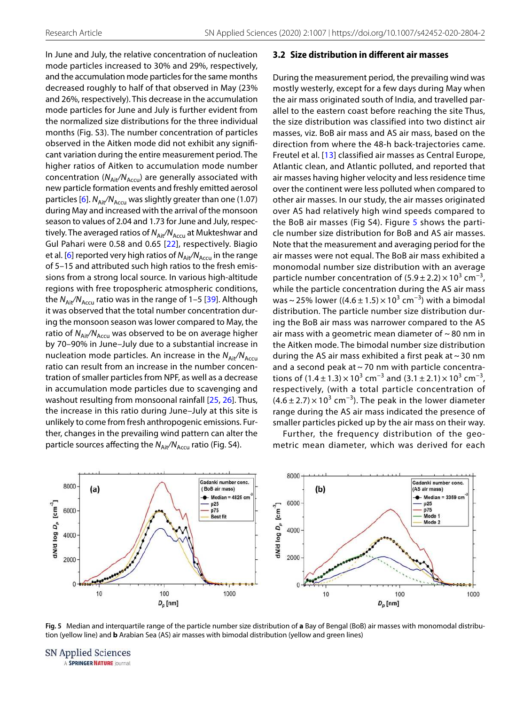In June and July, the relative concentration of nucleation mode particles increased to 30% and 29%, respectively, and the accumulation mode particles for the same months decreased roughly to half of that observed in May (23% and 26%, respectively). This decrease in the accumulation mode particles for June and July is further evident from the normalized size distributions for the three individual months (Fig. S3). The number concentration of particles observed in the Aitken mode did not exhibit any significant variation during the entire measurement period. The higher ratios of Aitken to accumulation mode number concentration ( $N_{Ai}/N_{Accu}$ ) are generally associated with new particle formation events and freshly emitted aerosol particles [[6\]](#page-12-17).  $N_{\text{Ai}t}/N_{\text{Accu}}$  was slightly greater than one (1.07) during May and increased with the arrival of the monsoon season to values of 2.04 and 1.73 for June and July, respectively. The averaged ratios of  $N_{\text{Air}}/N_{\text{Accu}}$  at Mukteshwar and Gul Pahari were 0.58 and 0.65 [[22\]](#page-12-6), respectively. Biagio et al. [\[6](#page-12-17)] reported very high ratios of  $N_{\text{Ait}}/N_{\text{Accu}}$  in the range of 5–15 and attributed such high ratios to the fresh emissions from a strong local source. In various high-altitude regions with free tropospheric atmospheric conditions, the  $N_{\text{Ait}}/N_{\text{Accu}}$  ratio was in the range of 1–5 [[39](#page-13-25)]. Although it was observed that the total number concentration during the monsoon season was lower compared to May, the ratio of  $N_{\text{Air}}/N_{\text{Accu}}$  was observed to be on average higher by 70–90% in June–July due to a substantial increase in nucleation mode particles. An increase in the  $N_{Ai}/N_{Accu}$ ratio can result from an increase in the number concentration of smaller particles from NPF, as well as a decrease in accumulation mode particles due to scavenging and washout resulting from monsoonal rainfall [[25](#page-13-6), [26](#page-13-7)]. Thus, the increase in this ratio during June–July at this site is unlikely to come from fresh anthropogenic emissions. Further, changes in the prevailing wind pattern can alter the particle sources affecting the  $N_{\text{Air}}/N_{\text{Accu}}$  ratio (Fig. S4).

#### **3.2 Size distribution in different air masses**

During the measurement period, the prevailing wind was mostly westerly, except for a few days during May when the air mass originated south of India, and travelled parallel to the eastern coast before reaching the site Thus, the size distribution was classified into two distinct air masses, viz. BoB air mass and AS air mass, based on the direction from where the 48-h back-trajectories came. Freutel et al. [[13](#page-12-18)] classified air masses as Central Europe, Atlantic clean, and Atlantic polluted, and reported that air masses having higher velocity and less residence time over the continent were less polluted when compared to other air masses. In our study, the air masses originated over AS had relatively high wind speeds compared to the BoB air masses (Fig S4). Figure [5](#page-7-0) shows the particle number size distribution for BoB and AS air masses. Note that the measurement and averaging period for the air masses were not equal. The BoB air mass exhibited a monomodal number size distribution with an average particle number concentration of  $(5.9 \pm 2.2) \times 10^3$  cm<sup>-3</sup>, while the particle concentration during the AS air mass was ~ 25% lower ((4.6  $\pm$  1.5) × 10<sup>3</sup> cm<sup>-3</sup>) with a bimodal distribution. The particle number size distribution during the BoB air mass was narrower compared to the AS air mass with a geometric mean diameter of  $\sim$  80 nm in the Aitken mode. The bimodal number size distribution during the AS air mass exhibited a first peak at  $\sim$  30 nm and a second peak at  $\sim$  70 nm with particle concentrations of  $(1.4 \pm 1.3) \times 10^3$  cm<sup>-3</sup> and  $(3.1 \pm 2.1) \times 10^3$  cm<sup>-3</sup>, respectively, (with a total particle concentration of  $(4.6 \pm 2.7) \times 10^3$  cm<sup>-3</sup>). The peak in the lower diameter range during the AS air mass indicated the presence of smaller particles picked up by the air mass on their way.

Further, the frequency distribution of the geometric mean diameter, which was derived for each



<span id="page-7-0"></span>**Fig. 5** Median and interquartile range of the particle number size distribution of **a** Bay of Bengal (BoB) air masses with monomodal distribution (yellow line) and **b** Arabian Sea (AS) air masses with bimodal distribution (yellow and green lines)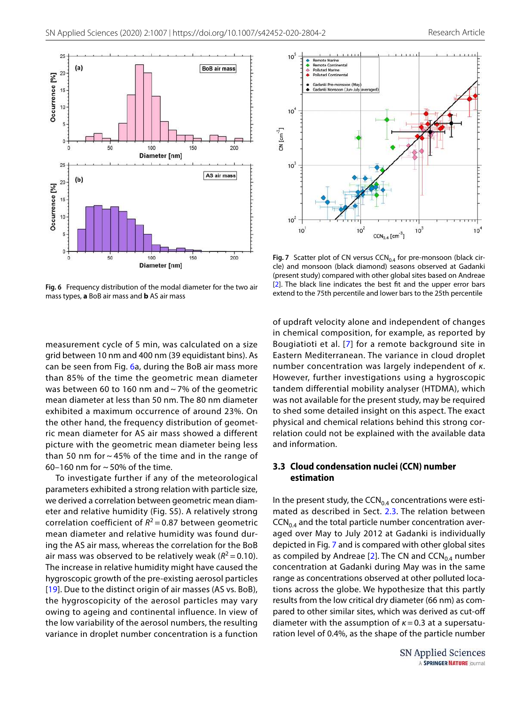

<span id="page-8-0"></span>**Fig. 6** Frequency distribution of the modal diameter for the two air mass types, **a** BoB air mass and **b** AS air mass

measurement cycle of 5 min, was calculated on a size grid between 10 nm and 400 nm (39 equidistant bins). As can be seen from Fig. [6](#page-8-0)a, during the BoB air mass more than 85% of the time the geometric mean diameter was between 60 to 160 nm and ~ 7% of the geometric mean diameter at less than 50 nm. The 80 nm diameter exhibited a maximum occurrence of around 23%. On the other hand, the frequency distribution of geometric mean diameter for AS air mass showed a different picture with the geometric mean diameter being less than 50 nm for  $\sim$  45% of the time and in the range of 60–160 nm for  $\sim$  50% of the time.

To investigate further if any of the meteorological parameters exhibited a strong relation with particle size, we derived a correlation between geometric mean diameter and relative humidity (Fig. S5). A relatively strong correlation coefficient of  $R^2$  = 0.87 between geometric mean diameter and relative humidity was found during the AS air mass, whereas the correlation for the BoB air mass was observed to be relatively weak ( $R^2$  = 0.10). The increase in relative humidity might have caused the hygroscopic growth of the pre-existing aerosol particles [[19\]](#page-12-19). Due to the distinct origin of air masses (AS vs. BoB), the hygroscopicity of the aerosol particles may vary owing to ageing and continental influence. In view of the low variability of the aerosol numbers, the resulting variance in droplet number concentration is a function



<span id="page-8-1"></span>Fig. 7 Scatter plot of CN versus CCN<sub>0.4</sub> for pre-monsoon (black circle) and monsoon (black diamond) seasons observed at Gadanki (present study) compared with other global sites based on Andreae [[2\]](#page-12-2). The black line indicates the best fit and the upper error bars extend to the 75th percentile and lower bars to the 25th percentile

of updraft velocity alone and independent of changes in chemical composition, for example, as reported by Bougiatioti et al. [[7](#page-12-20)] for a remote background site in Eastern Mediterranean. The variance in cloud droplet number concentration was largely independent of κ. However, further investigations using a hygroscopic tandem differential mobility analyser (HTDMA), which was not available for the present study, may be required to shed some detailed insight on this aspect. The exact physical and chemical relations behind this strong correlation could not be explained with the available data and information.

## **3.3 Cloud condensation nuclei (CCN) number estimation**

In the present study, the  $CCN_{0.4}$  concentrations were estimated as described in Sect. [2.3.](#page-3-2) The relation between  $CCN<sub>0.4</sub>$  and the total particle number concentration averaged over May to July 2012 at Gadanki is individually depicted in Fig. [7](#page-8-1) and is compared with other global sites as compiled by Andreae [\[2\]](#page-12-2). The CN and  $CCN<sub>0.4</sub>$  number concentration at Gadanki during May was in the same range as concentrations observed at other polluted locations across the globe. We hypothesize that this partly results from the low critical dry diameter (66 nm) as compared to other similar sites, which was derived as cut-off diameter with the assumption of  $\kappa = 0.3$  at a supersaturation level of 0.4%, as the shape of the particle number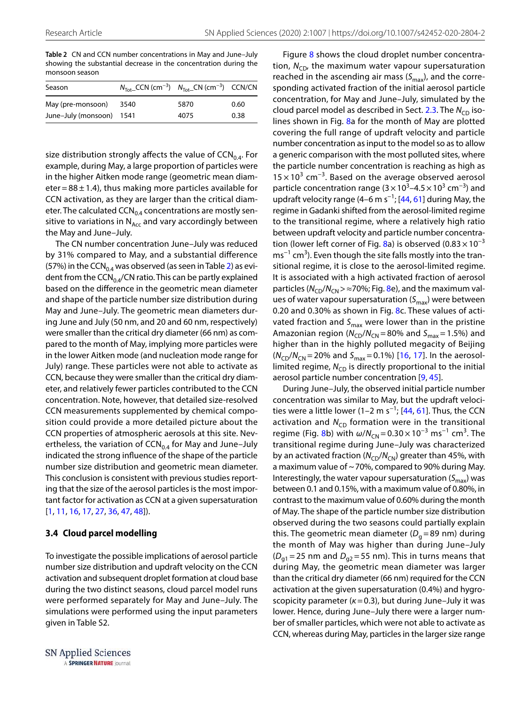<span id="page-9-0"></span>**Table 2** CN and CCN number concentrations in May and June–July showing the substantial decrease in the concentration during the monsoon season

| Season                   | $N_{\text{Tot}}$ CCN (cm <sup>-3</sup> ) $N_{\text{Tot}}$ CN (cm <sup>-3</sup> ) CCN/CN |      |      |
|--------------------------|-----------------------------------------------------------------------------------------|------|------|
| May (pre-monsoon) 3540   |                                                                                         | 5870 | 0.60 |
| June-July (monsoon) 1541 |                                                                                         | 4075 | 0.38 |

size distribution strongly affects the value of  $CCN_{0.4}$ . For example, during May, a large proportion of particles were in the higher Aitken mode range (geometric mean diameter =  $88 \pm 1.4$ ), thus making more particles available for CCN activation, as they are larger than the critical diameter. The calculated  $CCN_{0.4}$  concentrations are mostly sensitive to variations in  $N_{Acc}$  and vary accordingly between the May and June–July.

The CN number concentration June–July was reduced by 31% compared to May, and a substantial difference (57%) in the CCN<sub>0.4</sub> was observed (as seen in Table [2](#page-9-0)) as evident from the  $CCN_{0.4}/CN$  ratio. This can be partly explained based on the difference in the geometric mean diameter and shape of the particle number size distribution during May and June–July. The geometric mean diameters during June and July (50 nm, and 20 and 60 nm, respectively) were smaller than the critical dry diameter (66 nm) as compared to the month of May, implying more particles were in the lower Aitken mode (and nucleation mode range for July) range. These particles were not able to activate as CCN, because they were smaller than the critical dry diameter, and relatively fewer particles contributed to the CCN concentration. Note, however, that detailed size-resolved CCN measurements supplemented by chemical composition could provide a more detailed picture about the CCN properties of atmospheric aerosols at this site. Nevertheless, the variation of  $CCN_{0.4}$  for May and June–July indicated the strong influence of the shape of the particle number size distribution and geometric mean diameter. This conclusion is consistent with previous studies reporting that the size of the aerosol particles is the most important factor for activation as CCN at a given supersaturation [[1](#page-12-0), [11,](#page-12-13) [16](#page-12-4), [17,](#page-12-8) [27](#page-13-26), [36,](#page-13-27) [47](#page-13-23), [48\]](#page-13-4)).

#### **3.4 Cloud parcel modelling**

To investigate the possible implications of aerosol particle number size distribution and updraft velocity on the CCN activation and subsequent droplet formation at cloud base during the two distinct seasons, cloud parcel model runs were performed separately for May and June–July. The simulations were performed using the input parameters given in Table S2.

Figure [8](#page-12-21) shows the cloud droplet number concentration,  $N_{CD}$ , the maximum water vapour supersaturation reached in the ascending air mass  $(S_{\text{max}})$ , and the corresponding activated fraction of the initial aerosol particle concentration, for May and June–July, simulated by the cloud parcel model as described in Sect. [2.3.](#page-3-2) The  $N_{\text{CD}}$  isolines shown in Fig. [8a](#page-12-21) for the month of May are plotted covering the full range of updraft velocity and particle number concentration as input to the model so as to allow a generic comparison with the most polluted sites, where the particle number concentration is reaching as high as  $15 \times 10^{3}$  cm<sup>-3</sup>. Based on the average observed aerosol particle concentration range  $(3 \times 10^3 - 4.5 \times 10^3 \text{ cm}^{-3})$  and updraft velocity range (4–6 m s<sup>-1</sup>; [[44,](#page-13-28) [61](#page-14-6)] during May, the regime in Gadanki shifted from the aerosol-limited regime to the transitional regime, where a relatively high ratio between updraft velocity and particle number concentra-tion (lower left corner of Fig. [8a](#page-12-21)) is observed (0.83  $\times$  10<sup>-3</sup> ms<sup>-1</sup> cm<sup>3</sup>). Even though the site falls mostly into the transitional regime, it is close to the aerosol-limited regime. It is associated with a high activated fraction of aerosol particles ( $N_{\text{CD}}/N_{\text{CN}}$  >  $\approx$  70%; Fig. [8e](#page-12-21)), and the maximum values of water vapour supersaturation  $(S_{\text{max}})$  were between 0.20 and 0.30% as shown in Fig. [8c](#page-12-21). These values of activated fraction and  $S_{\text{max}}$  were lower than in the pristine Amazonian region ( $N_{CD}/N_{CN}$  = 80% and  $S_{max}$  = 1.5%) and higher than in the highly polluted megacity of Beijing  $(N_{CD}/N_{CN} = 20\%$  and  $S_{max} = 0.1\%$  [\[16,](#page-12-4) [17](#page-12-8)]. In the aerosollimited regime,  $N_{CD}$  is directly proportional to the initial aerosol particle number concentration [\[9](#page-12-22), [45\]](#page-13-17).

During June–July, the observed initial particle number concentration was similar to May, but the updraft veloci-ties were a little lower (1–2 m s<sup>-1</sup>; [[44,](#page-13-28) [61\]](#page-14-6). Thus, the CCN activation and  $N_{CD}$  formation were in the transitional regime (Fig. [8b](#page-12-21)) with  $\omega/N_{CN} = 0.30 \times 10^{-3} \text{ ms}^{-1} \text{ cm}^3$ . The transitional regime during June–July was characterized by an activated fraction ( $N_{CD}/N_{CN}$ ) greater than 45%, with a maximum value of  $\sim$  70%, compared to 90% during May. Interestingly, the water vapour supersaturation  $(S_{\text{max}})$  was between 0.1 and 0.15%, with a maximum value of 0.80%, in contrast to the maximum value of 0.60% during the month of May. The shape of the particle number size distribution observed during the two seasons could partially explain this. The geometric mean diameter ( $D_g$ =89 nm) during the month of May was higher than during June–July  $(D_{q1} = 25 \text{ nm}$  and  $D_{q2} = 55 \text{ nm}$ ). This in turns means that during May, the geometric mean diameter was larger than the critical dry diameter (66 nm) required for the CCN activation at the given supersaturation (0.4%) and hygroscopicity parameter ( $k = 0.3$ ), but during June–July it was lower. Hence, during June–July there were a larger number of smaller particles, which were not able to activate as CCN, whereas during May, particles in the larger size range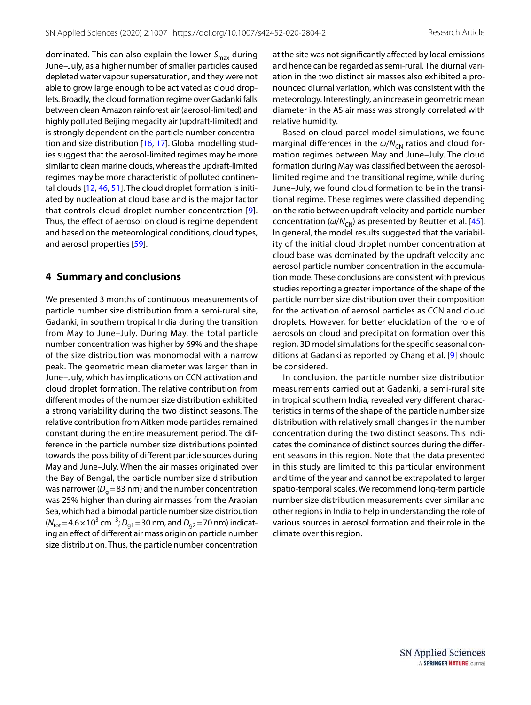dominated. This can also explain the lower  $S_{\text{max}}$  during June–July, as a higher number of smaller particles caused depleted water vapour supersaturation, and they were not able to grow large enough to be activated as cloud droplets. Broadly, the cloud formation regime over Gadanki falls between clean Amazon rainforest air (aerosol-limited) and highly polluted Beijing megacity air (updraft-limited) and is strongly dependent on the particle number concentration and size distribution [[16,](#page-12-4) [17\]](#page-12-8). Global modelling studies suggest that the aerosol-limited regimes may be more similar to clean marine clouds, whereas the updraft-limited regimes may be more characteristic of polluted continental clouds [\[12](#page-12-23), [46,](#page-13-29) [51](#page-13-30)]. The cloud droplet formation is initiated by nucleation at cloud base and is the major factor that controls cloud droplet number concentration [[9](#page-12-22)]. Thus, the effect of aerosol on cloud is regime dependent and based on the meteorological conditions, cloud types, and aerosol properties [\[59\]](#page-14-7).

## **4 Summary and conclusions**

We presented 3 months of continuous measurements of particle number size distribution from a semi-rural site, Gadanki, in southern tropical India during the transition from May to June–July. During May, the total particle number concentration was higher by 69% and the shape of the size distribution was monomodal with a narrow peak. The geometric mean diameter was larger than in June–July, which has implications on CCN activation and cloud droplet formation. The relative contribution from different modes of the number size distribution exhibited a strong variability during the two distinct seasons. The relative contribution from Aitken mode particles remained constant during the entire measurement period. The difference in the particle number size distributions pointed towards the possibility of different particle sources during May and June–July. When the air masses originated over the Bay of Bengal, the particle number size distribution was narrower ( $D_g$  = 83 nm) and the number concentration was 25% higher than during air masses from the Arabian Sea, which had a bimodal particle number size distribution ( $N_{\text{tot}}$ =4.6 × 10<sup>3</sup> cm<sup>-3</sup>;  $D_{g1}$  = 30 nm, and  $D_{g2}$  = 70 nm) indicating an effect of different air mass origin on particle number size distribution. Thus, the particle number concentration

at the site was not significantly affected by local emissions and hence can be regarded as semi-rural. The diurnal variation in the two distinct air masses also exhibited a pronounced diurnal variation, which was consistent with the meteorology. Interestingly, an increase in geometric mean diameter in the AS air mass was strongly correlated with relative humidity.

Based on cloud parcel model simulations, we found marginal differences in the  $\omega/N_{CN}$  ratios and cloud formation regimes between May and June–July. The cloud formation during May was classified between the aerosollimited regime and the transitional regime, while during June–July, we found cloud formation to be in the transitional regime. These regimes were classified depending on the ratio between updraft velocity and particle number concentration ( $\omega/N_{CN}$ ) as presented by Reutter et al. [[45](#page-13-17)]. In general, the model results suggested that the variability of the initial cloud droplet number concentration at cloud base was dominated by the updraft velocity and aerosol particle number concentration in the accumulation mode. These conclusions are consistent with previous studies reporting a greater importance of the shape of the particle number size distribution over their composition for the activation of aerosol particles as CCN and cloud droplets. However, for better elucidation of the role of aerosols on cloud and precipitation formation over this region, 3D model simulations for the specific seasonal conditions at Gadanki as reported by Chang et al. [[9](#page-12-22)] should be considered.

In conclusion, the particle number size distribution measurements carried out at Gadanki, a semi-rural site in tropical southern India, revealed very different characteristics in terms of the shape of the particle number size distribution with relatively small changes in the number concentration during the two distinct seasons. This indicates the dominance of distinct sources during the different seasons in this region. Note that the data presented in this study are limited to this particular environment and time of the year and cannot be extrapolated to larger spatio-temporal scales. We recommend long-term particle number size distribution measurements over similar and other regions in India to help in understanding the role of various sources in aerosol formation and their role in the climate over this region.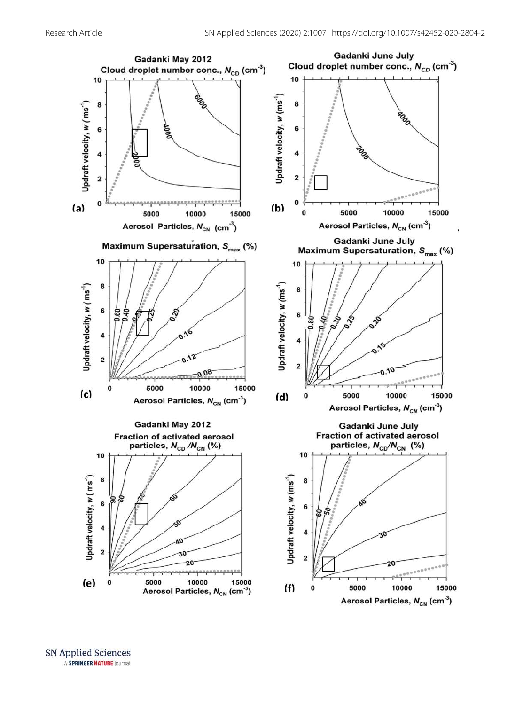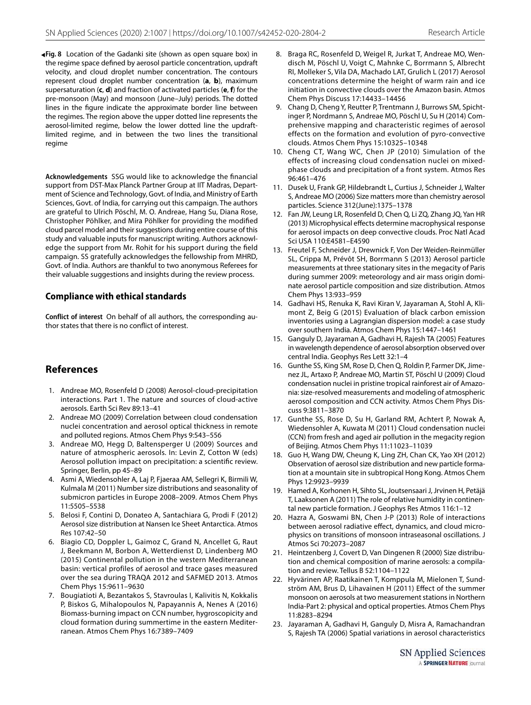<span id="page-12-21"></span>**Fig. 8** Location of the Gadanki site (shown as open square box) in ◂the regime space defined by aerosol particle concentration, updraft velocity, and cloud droplet number concentration. The contours represent cloud droplet number concentration (**a**, **b**), maximum supersaturation (**c**, **d**) and fraction of activated particles (**e**, **f**) for the pre-monsoon (May) and monsoon (June–July) periods. The dotted lines in the figure indicate the approximate border line between the regimes. The region above the upper dotted line represents the aerosol-limited regime, below the lower dotted line the updraftlimited regime, and in between the two lines the transitional regime

**Acknowledgements** SSG would like to acknowledge the financial support from DST-Max Planck Partner Group at IIT Madras, Department of Science and Technology, Govt. of India, and Ministry of Earth Sciences, Govt. of India, for carrying out this campaign. The authors are grateful to Ulrich Pöschl, M. O. Andreae, Hang Su, Diana Rose, Christopher Pöhlker, and Mira Pöhlker for providing the modified cloud parcel model and their suggestions during entire course of this study and valuable inputs for manuscript writing. Authors acknowledge the support from Mr. Rohit for his support during the field campaign. SS gratefully acknowledges the fellowship from MHRD, Govt. of India. Authors are thankful to two anonymous Referees for their valuable suggestions and insights during the review process.

#### **Compliance with ethical standards**

**Conflict of interest** On behalf of all authors, the corresponding author states that there is no conflict of interest.

## **References**

- <span id="page-12-0"></span> 1. Andreae MO, Rosenfeld D (2008) Aerosol-cloud-precipitation interactions. Part 1. The nature and sources of cloud-active aerosols. Earth Sci Rev 89:13–41
- <span id="page-12-2"></span> 2. Andreae MO (2009) Correlation between cloud condensation nuclei concentration and aerosol optical thickness in remote and polluted regions. Atmos Chem Phys 9:543–556
- <span id="page-12-3"></span> 3. Andreae MO, Hegg D, Baltensperger U (2009) Sources and nature of atmospheric aerosols. In: Levin Z, Cotton W (eds) Aerosol pollution impact on precipitation: a scientific review. Springer, Berlin, pp 45–89
- <span id="page-12-1"></span> 4. Asmi A, Wiedensohler A, Laj P, Fjaeraa AM, Sellegri K, Birmili W, Kulmala M (2011) Number size distributions and seasonality of submicron particles in Europe 2008–2009. Atmos Chem Phys 11:5505–5538
- <span id="page-12-10"></span> 5. Belosi F, Contini D, Donateo A, Santachiara G, Prodi F (2012) Aerosol size distribution at Nansen Ice Sheet Antarctica. Atmos Res 107:42–50
- <span id="page-12-17"></span> 6. Biagio CD, Doppler L, Gaimoz C, Grand N, Ancellet G, Raut J, Beekmann M, Borbon A, Wetterdienst D, Lindenberg MO (2015) Continental pollution in the western Mediterranean basin: vertical profiles of aerosol and trace gases measured over the sea during TRAQA 2012 and SAFMED 2013. Atmos Chem Phys 15:9611–9630
- <span id="page-12-20"></span> 7. Bougiatioti A, Bezantakos S, Stavroulas I, Kalivitis N, Kokkalis P, Biskos G, Mihalopoulos N, Papayannis A, Nenes A (2016) Biomass-burning impact on CCN number, hygroscopicity and cloud formation during summertime in the eastern Mediterranean. Atmos Chem Phys 16:7389–7409
- <span id="page-12-12"></span> 8. Braga RC, Rosenfeld D, Weigel R, Jurkat T, Andreae MO, Wendisch M, Pöschl U, Voigt C, Mahnke C, Borrmann S, Albrecht RI, Molleker S, Vila DA, Machado LAT, Grulich L (2017) Aerosol concentrations determine the height of warm rain and ice initiation in convective clouds over the Amazon basin. Atmos Chem Phys Discuss 17:14433–14456
- <span id="page-12-22"></span> 9. Chang D, Cheng Y, Reutter P, Trentmann J, Burrows SM, Spichtinger P, Nordmann S, Andreae MO, Pöschl U, Su H (2014) Comprehensive mapping and characteristic regimes of aerosol effects on the formation and evolution of pyro-convective clouds. Atmos Chem Phys 15:10325–10348
- <span id="page-12-14"></span> 10. Cheng CT, Wang WC, Chen JP (2010) Simulation of the effects of increasing cloud condensation nuclei on mixedphase clouds and precipitation of a front system. Atmos Res 96:461–476
- <span id="page-12-13"></span> 11. Dusek U, Frank GP, Hildebrandt L, Curtius J, Schneider J, Walter S, Andreae MO (2006) Size matters more than chemistry aerosol particles. Science 312(June):1375–1378
- <span id="page-12-23"></span> 12. Fan JW, Leung LR, Rosenfeld D, Chen Q, Li ZQ, Zhang JQ, Yan HR (2013) Microphysical effects determine macrophysical response for aerosol impacts on deep convective clouds. Proc Natl Acad Sci USA 110:E4581–E4590
- <span id="page-12-18"></span> 13. Freutel F, Schneider J, Drewnick F, Von Der Weiden-Reinmüller SL, Crippa M, Prévôt SH, Borrmann S (2013) Aerosol particle measurements at three stationary sites in the megacity of Paris during summer 2009: meteorology and air mass origin dominate aerosol particle composition and size distribution. Atmos Chem Phys 13:933–959
- <span id="page-12-16"></span> 14. Gadhavi HS, Renuka K, Ravi Kiran V, Jayaraman A, Stohl A, Klimont Z, Beig G (2015) Evaluation of black carbon emission inventories using a Lagrangian dispersion model: a case study over southern India. Atmos Chem Phys 15:1447–1461
- <span id="page-12-15"></span> 15. Ganguly D, Jayaraman A, Gadhavi H, Rajesh TA (2005) Features in wavelength dependence of aerosol absorption observed over central India. Geophys Res Lett 32:1–4
- <span id="page-12-4"></span> 16. Gunthe SS, King SM, Rose D, Chen Q, Roldin P, Farmer DK, Jimenez JL, Artaxo P, Andreae MO, Martin ST, Pöschl U (2009) Cloud condensation nuclei in pristine tropical rainforest air of Amazonia: size-resolved measurements and modeling of atmospheric aerosol composition and CCN activity. Atmos Chem Phys Discuss 9:3811–3870
- <span id="page-12-8"></span> 17. Gunthe SS, Rose D, Su H, Garland RM, Achtert P, Nowak A, Wiedensohler A, Kuwata M (2011) Cloud condensation nuclei (CCN) from fresh and aged air pollution in the megacity region of Beijing. Atmos Chem Phys 11:11023–11039
- <span id="page-12-5"></span> 18. Guo H, Wang DW, Cheung K, Ling ZH, Chan CK, Yao XH (2012) Observation of aerosol size distribution and new particle formation at a mountain site in subtropical Hong Kong. Atmos Chem Phys 12:9923–9939
- <span id="page-12-19"></span> 19. Hamed A, Korhonen H, Sihto SL, Joutsensaari J, Jrvinen H, Petäjä T, Laaksonen A (2011) The role of relative humidity in continental new particle formation. J Geophys Res Atmos 116:1–12
- <span id="page-12-9"></span> 20. Hazra A, Goswami BN, Chen J-P (2013) Role of interactions between aerosol radiative effect, dynamics, and cloud microphysics on transitions of monsoon intraseasonal oscillations. J Atmos Sci 70:2073–2087
- <span id="page-12-11"></span> 21. Heintzenberg J, Covert D, Van Dingenen R (2000) Size distribution and chemical composition of marine aerosols: a compilation and review. Tellus B 52:1104–1122
- <span id="page-12-6"></span> 22. Hyvärinen AP, Raatikainen T, Komppula M, Mielonen T, Sundström AM, Brus D, Lihavainen H (2011) Effect of the summer monsoon on aerosols at two measurement stations in Northern India-Part 2: physical and optical properties. Atmos Chem Phys 11:8283–8294
- <span id="page-12-7"></span> 23. Jayaraman A, Gadhavi H, Ganguly D, Misra A, Ramachandran S, Rajesh TA (2006) Spatial variations in aerosol characteristics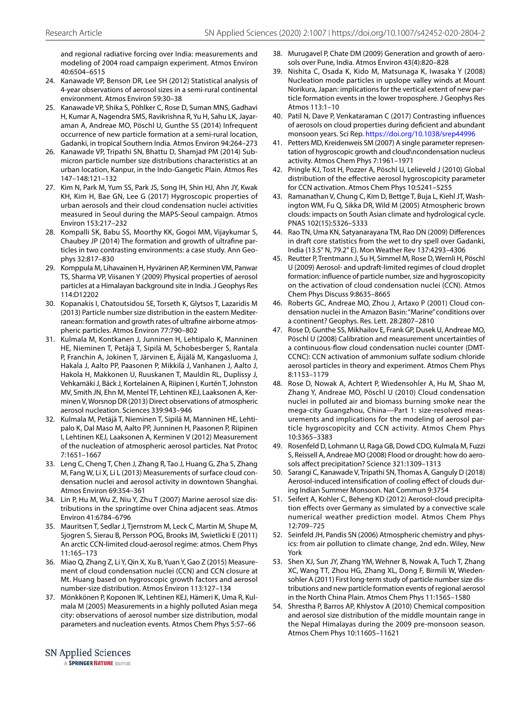and regional radiative forcing over India: measurements and modeling of 2004 road campaign experiment. Atmos Environ 40:6504–6515

- <span id="page-13-24"></span> 24. Kanawade VP, Benson DR, Lee SH (2012) Statistical analysis of 4-year observations of aerosol sizes in a semi-rural continental environment. Atmos Environ 59:30–38
- <span id="page-13-6"></span> 25. Kanawade VP, Shika S, Pöhlker C, Rose D, Suman MNS, Gadhavi H, Kumar A, Nagendra SMS, Ravikrishna R, Yu H, Sahu LK, Jayaraman A, Andreae MO, Pöschl U, Gunthe SS (2014) Infrequent occurrence of new particle formation at a semi-rural location, Gadanki, in tropical Southern India. Atmos Environ 94:264–273
- <span id="page-13-7"></span> 26. Kanawade VP, Tripathi SN, Bhattu D, Shamjad PM (2014) Submicron particle number size distributions characteristics at an urban location, Kanpur, in the Indo-Gangetic Plain. Atmos Res 147–148:121–132
- <span id="page-13-26"></span> 27. Kim N, Park M, Yum SS, Park JS, Song IH, Shin HJ, Ahn JY, Kwak KH, Kim H, Bae GN, Lee G (2017) Hygroscopic properties of urban aerosols and their cloud condensation nuclei activities measured in Seoul during the MAPS-Seoul campaign. Atmos Environ 153:217–232
- <span id="page-13-8"></span> 28. Kompalli SK, Babu SS, Moorthy KK, Gogoi MM, Vijaykumar S, Chaubey JP (2014) The formation and growth of ultrafine particles in two contrasting environments: a case study. Ann Geophys 32:817–830
- <span id="page-13-1"></span> 29. Komppula M, Lihavainen H, Hyvärinen AP, Kerminen VM, Panwar TS, Sharma VP, Viisanen Y (2009) Physical properties of aerosol particles at a Himalayan background site in India. J Geophys Res 114:D12202
- <span id="page-13-11"></span> 30. Kopanakis I, Chatoutsidou SE, Torseth K, Glytsos T, Lazaridis M (2013) Particle number size distribution in the eastern Mediterranean: formation and growth rates of ultrafine airborne atmospheric particles. Atmos Environ 77:790–802
- <span id="page-13-9"></span> 31. Kulmala M, Kontkanen J, Junninen H, Lehtipalo K, Manninen HE, Nieminen T, Petäjä T, Sipilä M, Schobesberger S, Rantala P, Franchin A, Jokinen T, Järvinen E, Äijälä M, Kangasluoma J, Hakala J, Aalto PP, Paasonen P, Mikkilä J, Vanhanen J, Aalto J, Hakola H, Makkonen U, Ruuskanen T, Mauldin RL, Duplissy J, Vehkamäki J, Bäck J, Kortelainen A, Riipinen I, Kurtén T, Johnston MV, Smith JN, Ehn M, Mentel TF, Lehtinen KEJ, Laaksonen A, Kerminen V, Worsnop DR (2013) Direct observations of atmospheric aerosol nucleation. Sciences 339:943–946
- <span id="page-13-10"></span> 32. Kulmala M, Petäjä T, Nieminen T, Sipilä M, Manninen HE, Lehtipalo K, Dal Maso M, Aalto PP, Junninen H, Paasonen P, Riipinen I, Lehtinen KEJ, Laaksonen A, Kerminen V (2012) Measurement of the nucleation of atmospheric aerosol particles. Nat Protoc 7:1651–1667
- <span id="page-13-19"></span> 33. Leng C, Cheng T, Chen J, Zhang R, Tao J, Huang G, Zha S, Zhang M, Fang W, Li X, Li L (2013) Measurements of surface cloud condensation nuclei and aerosol activity in downtown Shanghai. Atmos Environ 69:354–361
- <span id="page-13-15"></span> 34. Lin P, Hu M, Wu Z, Niu Y, Zhu T (2007) Marine aerosol size distributions in the springtime over China adjacent seas. Atmos Environ 41:6784–6796
- <span id="page-13-2"></span> 35. Mauritsen T, Sedlar J, Tjernstrom M, Leck C, Martin M, Shupe M, Sjogren S, Sierau B, Persson POG, Brooks IM, Swietlicki E (2011) An arctic CCN-limited cloud-aerosol regime: atmos. Chem Phys 11:165–173
- <span id="page-13-27"></span> 36. Miao Q, Zhang Z, Li Y, Qin X, Xu B, Yuan Y, Gao Z (2015) Measurement of cloud condensation nuclei (CCN) and CCN closure at Mt. Huang based on hygroscopic growth factors and aerosol number-size distribution. Atmos Environ 113:127–134
- <span id="page-13-3"></span> 37. Mönkkönen P, Koponen IK, Lehtinen KEJ, Hämeri K, Uma R, Kulmala M (2005) Measurements in a highly polluted Asian mega city: observations of aerosol number size distribution, modal parameters and nucleation events. Atmos Chem Phys 5:57–66
- <span id="page-13-20"></span> 38. Murugavel P, Chate DM (2009) Generation and growth of aerosols over Pune, India. Atmos Environ 43(4):820–828
- <span id="page-13-25"></span> 39. Nishita C, Osada K, Kido M, Matsunaga K, Iwasaka Y (2008) Nucleation mode particles in upslope valley winds at Mount Norikura, Japan: implications for the vertical extent of new particle formation events in the lower troposphere. J Geophys Res Atmos 113:1–10
- <span id="page-13-12"></span> 40. Patil N, Dave P, Venkataraman C (2017) Contrasting influences of aerosols on cloud properties during deficient and abundant monsoon years. Sci Rep. [https ://doi.org/10.1038/srep4 4996](https://doi.org/10.1038/srep44996)
- <span id="page-13-18"></span> 41. Petters MD, Kreidenweis SM (2007) A single parameter representation of hygroscopic growth and cloud\ncondensation nucleus activity. Atmos Chem Phys 7:1961–1971
- <span id="page-13-22"></span> 42. Pringle KJ, Tost H, Pozzer A, Pöschl U, Lelieveld J (2010) Global distribution of the effective aerosol hygroscopicity parameter for CCN activation. Atmos Chem Phys 10:5241–5255
- <span id="page-13-16"></span> 43. Ramanathan V, Chung C, Kim D, Bettge T, Buja L, Kiehl JT, Washington WM, Fu Q, Sikka DR, Wild M (2005) Atmospheric brown clouds: impacts on South Asian climate and hydrological cycle. PNAS 102(15):5326–5333
- <span id="page-13-28"></span> 44. Rao TN, Uma KN, Satyanarayana TM, Rao DN (2009) Differences in draft core statistics from the wet to dry spell over Gadanki, India (13.5° N, 79.2° E). Mon Weather Rev 137:4293–4306
- <span id="page-13-17"></span> 45. Reutter P, Trentmann J, Su H, Simmel M, Rose D, Wernli H, Pöschl U (2009) Aerosol- and updraft-limited regimes of cloud droplet formation: influence of particle number, size and hygroscopicity on the activation of cloud condensation nuclei (CCN). Atmos Chem Phys Discuss 9:8635–8665
- <span id="page-13-29"></span> 46. Roberts GC, Andreae MO, Zhou J, Artaxo P (2001) Cloud condensation nuclei in the Amazon Basin: "Marine" conditions over a continent? Geophys. Res. Lett. 28:2807–2810
- <span id="page-13-23"></span> 47. Rose D, Gunthe SS, Mikhailov E, Frank GP, Dusek U, Andreae MO, Pöschl U (2008) Calibration and measurement uncertainties of a continuous-flow cloud condensation nuclei counter (DMT-CCNC): CCN activation of ammonium sulfate sodium chloride aerosol particles in theory and experiment. Atmos Chem Phys 8:1153–1179
- <span id="page-13-4"></span> 48. Rose D, Nowak A, Achtert P, Wiedensohler A, Hu M, Shao M, Zhang Y, Andreae MO, Pöschl U (2010) Cloud condensation nuclei in polluted air and biomass burning smoke near the mega-city Guangzhou, China—Part 1: size-resolved measurements and implications for the modeling of aerosol particle hygroscopicity and CCN activity. Atmos Chem Phys 10:3365–3383
- <span id="page-13-0"></span> 49. Rosenfeld D, Lohmann U, Raga GB, Dowd CDO, Kulmala M, Fuzzi S, Reissell A, Andreae MO (2008) Flood or drought: how do aerosols affect precipitation? Science 321:1309–1313
- <span id="page-13-13"></span> 50. Sarangi C, Kanawade V, Tripathi SN, Thomas A, Ganguly D (2018) Aerosol-induced intensification of cooling effect of clouds during Indian Summer Monsoon. Nat Commun 9:3754
- <span id="page-13-30"></span> 51. Seifert A, Kohler C, Beheng KD (2012) Aerosol-cloud precipitation effects over Germany as simulated by a convective scale numerical weather prediction model. Atmos Chem Phys 12:709–725
- <span id="page-13-21"></span> 52. Seinfeld JH, Pandis SN (2006) Atmospheric chemistry and physics: from air pollution to climate change, 2nd edn. Wiley, New York
- <span id="page-13-5"></span> 53. Shen XJ, Sun JY, Zhang YM, Wehner B, Nowak A, Tuch T, Zhang XC, Wang TT, Zhou HG, Zhang XL, Dong F, Birmili W, Wiedensohler A (2011) First long-term study of particle number size distributions and new particle formation events of regional aerosol in the North China Plain. Atmos Chem Phys 11:1565–1580
- <span id="page-13-14"></span> 54. Shrestha P, Barros AP, Khlystov A (2010) Chemical composition and aerosol size distribution of the middle mountain range in the Nepal Himalayas during the 2009 pre-monsoon season. Atmos Chem Phys 10:11605–11621

#### SN Applied Sciences

A SPRINGER NATURE journal